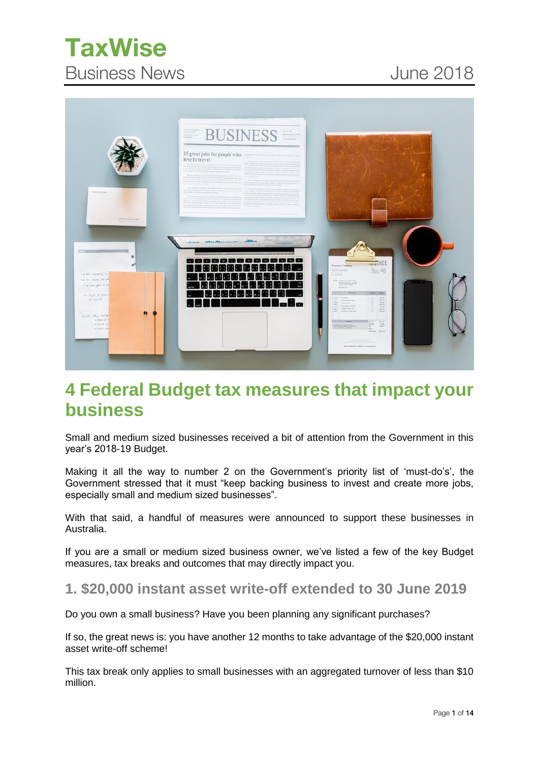# **TaxWise Taxwise Susiness News** June 2018



## **4 Federal Budget tax measures that impact your business**

Small and medium sized businesses received a bit of attention from the Government in this year's 2018-19 Budget.

Making it all the way to number 2 on the Government's priority list of 'must-do's', the Government stressed that it must "keep backing business to invest and create more jobs, especially small and medium sized businesses".

With that said, a handful of measures were announced to support these businesses in Australia.

If you are a small or medium sized business owner, we've listed a few of the key Budget measures, tax breaks and outcomes that may directly impact you.

### **1. \$20,000 instant asset write-off extended to 30 June 2019**

Do you own a small business? Have you been planning any significant purchases?

If so, the great news is: you have another 12 months to take advantage of the \$20,000 instant asset write-off scheme!

This tax break only applies to small businesses with an aggregated turnover of less than \$10 million.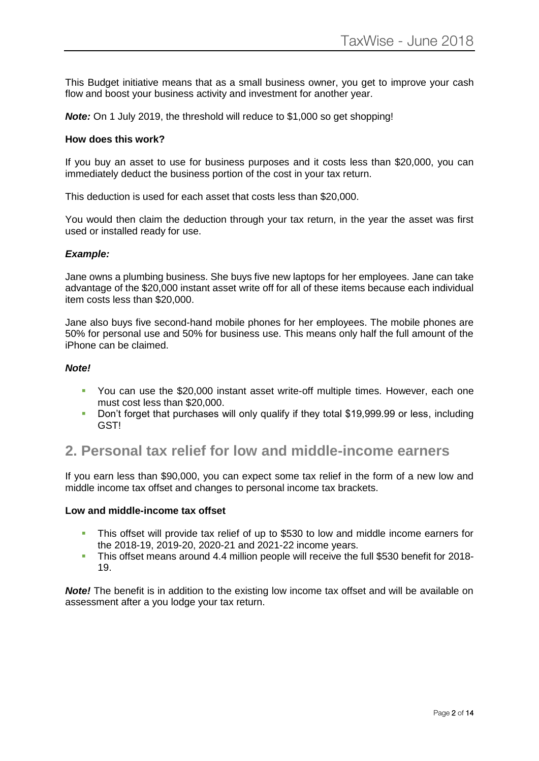This Budget initiative means that as a small business owner, you get to improve your cash flow and boost your business activity and investment for another year.

*Note:* On 1 July 2019, the threshold will reduce to \$1,000 so get shopping!

#### **How does this work?**

If you buy an asset to use for business purposes and it costs less than \$20,000, you can immediately deduct the business portion of the cost in your tax return.

This deduction is used for each asset that costs less than \$20,000.

You would then claim the deduction through your tax return, in the year the asset was first used or installed ready for use.

#### *Example:*

Jane owns a plumbing business. She buys five new laptops for her employees. Jane can take advantage of the \$20,000 instant asset write off for all of these items because each individual item costs less than \$20,000.

Jane also buys five second-hand mobile phones for her employees. The mobile phones are 50% for personal use and 50% for business use. This means only half the full amount of the iPhone can be claimed.

#### *Note!*

- You can use the \$20,000 instant asset write-off multiple times. However, each one must cost less than \$20,000.
- **•** Don't forget that purchases will only qualify if they total \$19,999.99 or less, including GST!

## **2. Personal tax relief for low and middle-income earners**

If you earn less than \$90,000, you can expect some tax relief in the form of a new low and middle income tax offset and changes to personal income tax brackets.

#### **Low and middle-income tax offset**

- This offset will provide tax relief of up to \$530 to low and middle income earners for the 2018-19, 2019-20, 2020-21 and 2021-22 income years.
- This offset means around 4.4 million people will receive the full \$530 benefit for 2018- 19.

*Note!* The benefit is in addition to the existing low income tax offset and will be available on assessment after a you lodge your tax return.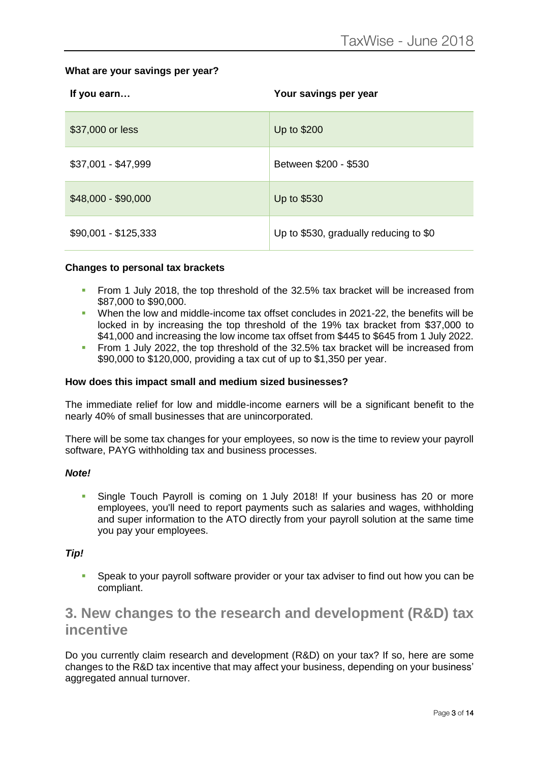#### **What are your savings per year?**

| If you earn          | Your savings per year                  |
|----------------------|----------------------------------------|
| \$37,000 or less     | Up to \$200                            |
| \$37,001 - \$47,999  | Between \$200 - \$530                  |
| \$48,000 - \$90,000  | Up to \$530                            |
| $$90,001 - $125,333$ | Up to \$530, gradually reducing to \$0 |

#### **Changes to personal tax brackets**

- **•** From 1 July 2018, the top threshold of the 32.5% tax bracket will be increased from \$87,000 to \$90,000.
- When the low and middle-income tax offset concludes in 2021-22, the benefits will be locked in by increasing the top threshold of the 19% tax bracket from \$37,000 to \$41,000 and increasing the low income tax offset from \$445 to \$645 from 1 July 2022.
- From 1 July 2022, the top threshold of the 32.5% tax bracket will be increased from \$90,000 to \$120,000, providing a tax cut of up to \$1,350 per year.

#### **How does this impact small and medium sized businesses?**

The immediate relief for low and middle-income earners will be a significant benefit to the nearly 40% of small businesses that are unincorporated.

There will be some tax changes for your employees, so now is the time to review your payroll software, PAYG withholding tax and business processes.

#### *Note!*

**E** Single Touch Payroll is coming on 1 July 2018! If your business has 20 or more employees, you'll need to report payments such as salaries and wages, withholding and super information to the ATO directly from your payroll solution at the same time you pay your employees.

#### *Tip!*

Speak to your payroll software provider or your tax adviser to find out how you can be compliant.

## **3. New changes to the research and development (R&D) tax incentive**

Do you currently claim research and development (R&D) on your tax? If so, here are some changes to the R&D tax incentive that may affect your business, depending on your business' aggregated annual turnover.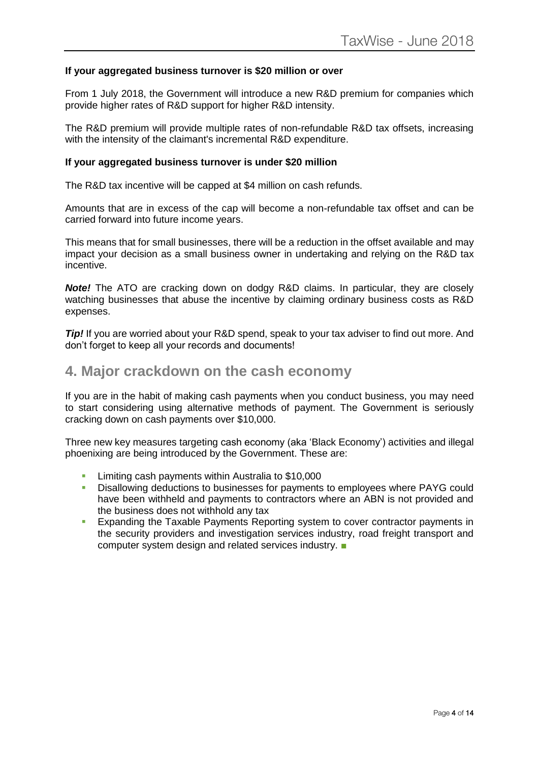#### **If your aggregated business turnover is \$20 million or over**

From 1 July 2018, the Government will introduce a new R&D premium for companies which provide higher rates of R&D support for higher R&D intensity.

The R&D premium will provide multiple rates of non-refundable R&D tax offsets, increasing with the intensity of the claimant's incremental R&D expenditure.

#### **If your aggregated business turnover is under \$20 million**

The R&D tax incentive will be capped at \$4 million on cash refunds.

Amounts that are in excess of the cap will become a non-refundable tax offset and can be carried forward into future income years.

This means that for small businesses, there will be a reduction in the offset available and may impact your decision as a small business owner in undertaking and relying on the R&D tax incentive.

*Note!* The ATO are cracking down on dodgy R&D claims. In particular, they are closely watching businesses that abuse the incentive by claiming ordinary business costs as R&D expenses.

*Tip!* If you are worried about your R&D spend, speak to your tax adviser to find out more. And don't forget to keep all your records and documents!

### **4. Major crackdown on the cash economy**

If you are in the habit of making cash payments when you conduct business, you may need to start considering using alternative methods of payment. The Government is seriously cracking down on cash payments over \$10,000.

Three new key measures targeting cash economy (aka 'Black Economy') activities and illegal phoenixing are being introduced by the Government. These are:

- **EXECUTE:** Limiting cash payments within Australia to \$10,000
- **EXP** Disallowing deductions to businesses for payments to employees where PAYG could have been withheld and payments to contractors where an ABN is not provided and the business does not withhold any tax
- **Expanding the Taxable Payments Reporting system to cover contractor payments in** the security providers and investigation services industry, road freight transport and computer system design and related services industry. ■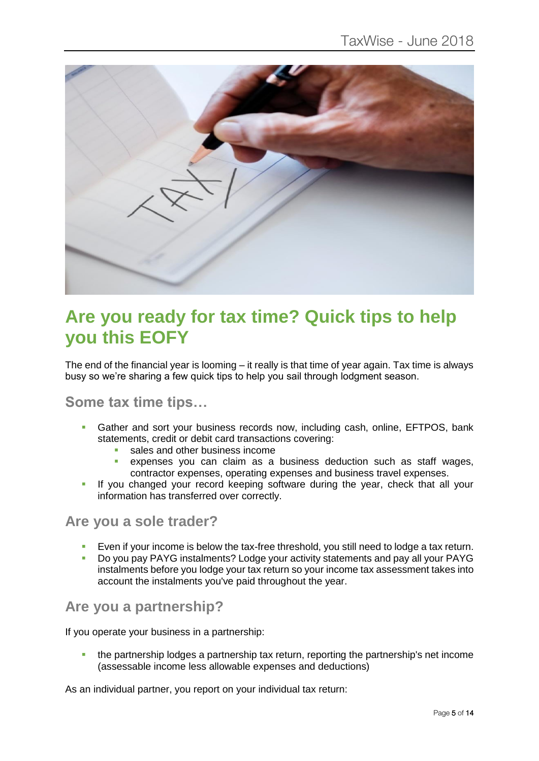

## **Are you ready for tax time? Quick tips to help you this EOFY**

The end of the financial year is looming – it really is that time of year again. Tax time is always busy so we're sharing a few quick tips to help you sail through lodgment season.

## **Some tax time tips…**

- Gather and sort your business records now, including cash, online, EFTPOS, bank statements, credit or debit card transactions covering:
	- sales and other business income
	- expenses you can claim as a business deduction such as staff wages, contractor expenses, operating expenses and business travel expenses.
- If you changed your record keeping software during the year, check that all your information has transferred over correctly.

### **Are you a sole trader?**

- Even if your income is below the tax-free threshold, you still need to lodge a tax return.
- Do you pay PAYG instalments? Lodge your activity statements and pay all your PAYG instalments before you lodge your tax return so your income tax assessment takes into account the instalments you've paid throughout the year.

## **Are you a partnership?**

If you operate your business in a partnership:

**•** the partnership lodges a partnership tax return, reporting the partnership's net income (assessable income less allowable expenses and deductions)

As an individual partner, you report on your individual tax return: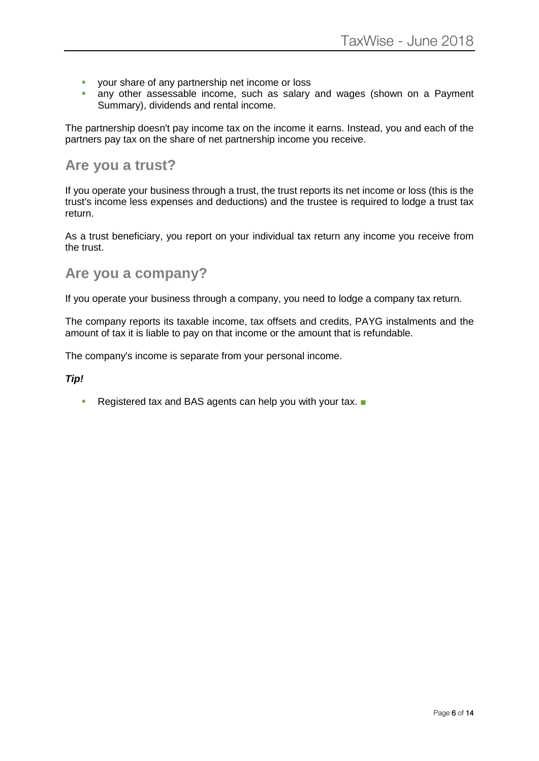- **•** your share of any partnership net income or loss
- **E** any other assessable income, such as salary and wages (shown on a Payment Summary), dividends and rental income.

The partnership doesn't pay income tax on the income it earns. Instead, you and each of the partners pay tax on the share of net partnership income you receive.

### **Are you a trust?**

If you operate your business through a trust, the trust reports its net income or loss (this is the trust's income less expenses and deductions) and the trustee is required to lodge a trust tax return.

As a trust beneficiary, you report on your individual tax return any income you receive from the trust.

### **Are you a company?**

If you operate your business through a company, you need to lodge a company tax return.

The company reports its taxable income, tax offsets and credits, PAYG instalments and the amount of tax it is liable to pay on that income or the amount that is refundable.

The company's income is separate from your personal income.

#### *Tip!*

■ Registered tax and BAS agents can help you with your tax. ■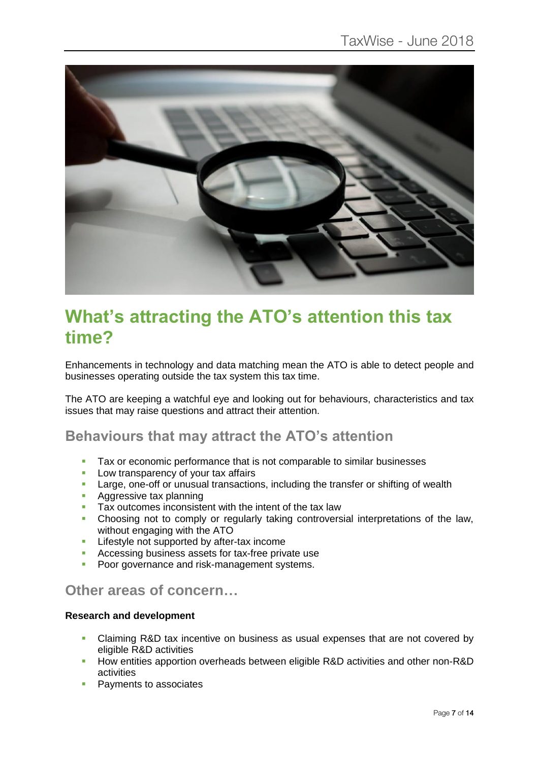

## **What's attracting the ATO's attention this tax time?**

Enhancements in technology and data matching mean the ATO is able to detect people and businesses operating outside the tax system this tax time.

The ATO are keeping a watchful eye and looking out for behaviours, characteristics and tax issues that may raise questions and attract their attention.

## **Behaviours that may attract the ATO's attention**

- Tax or economic performance that is not comparable to similar businesses<br>■ I ow transparency of your tax affairs
- Low transparency of your tax affairs
- **EXECT** Large, one-off or unusual transactions, including the transfer or shifting of wealth
- Aggressive tax planning
- Tax outcomes inconsistent with the intent of the tax law
- Choosing not to comply or regularly taking controversial interpretations of the law, without engaging with the ATO
- Lifestyle not supported by after-tax income
- Accessing business assets for tax-free private use
- **Poor governance and risk-management systems.**

## **Other areas of concern…**

#### **Research and development**

- Claiming R&D tax incentive on business as usual expenses that are not covered by eligible R&D activities
- How entities apportion overheads between eligible R&D activities and other non-R&D activities
- Payments to associates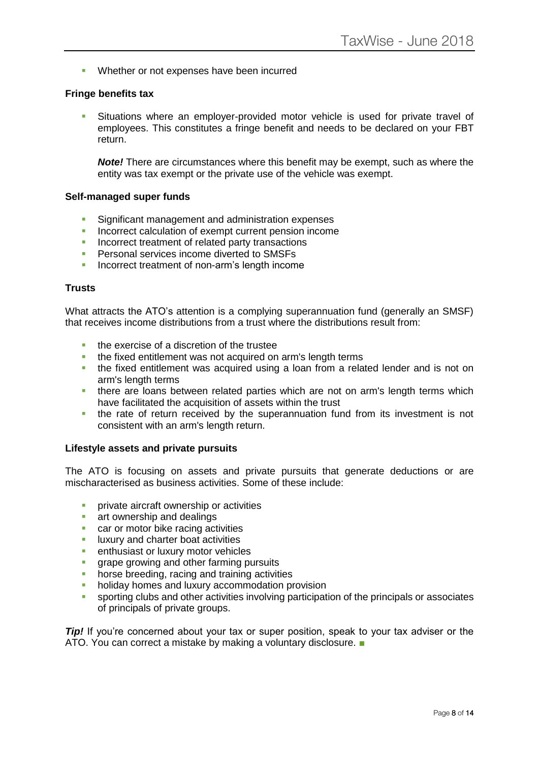■ Whether or not expenses have been incurred

#### **Fringe benefits tax**

Situations where an employer-provided motor vehicle is used for private travel of employees. This constitutes a fringe benefit and needs to be declared on your FBT return.

*Note!* There are circumstances where this benefit may be exempt, such as where the entity was tax exempt or the private use of the vehicle was exempt.

#### **Self-managed super funds**

- **EXECTE Significant management and administration expenses**
- Incorrect calculation of exempt current pension income
- **EXECUTE:** Incorrect treatment of related party transactions
- Personal services income diverted to SMSFs
- **EXECUTE:** Incorrect treatment of non-arm's length income

#### **Trusts**

What attracts the ATO's attention is a complying superannuation fund (generally an SMSF) that receives income distributions from a trust where the distributions result from:

- the exercise of a discretion of the trustee
- **.** the fixed entitlement was not acquired on arm's length terms
- **.** the fixed entitlement was acquired using a loan from a related lender and is not on arm's length terms
- **.** there are loans between related parties which are not on arm's length terms which have facilitated the acquisition of assets within the trust
- the rate of return received by the superannuation fund from its investment is not consistent with an arm's length return.

#### **Lifestyle assets and private pursuits**

The ATO is focusing on assets and private pursuits that generate deductions or are mischaracterised as business activities. Some of these include:

- private aircraft ownership or activities
- art ownership and dealings
- car or motor bike racing activities
- **E** luxury and charter boat activities
- **E** enthusiast or luxury motor vehicles
- **grape growing and other farming pursuits**
- **•** horse breeding, racing and training activities
- **holiday homes and luxury accommodation provision**
- sporting clubs and other activities involving participation of the principals or associates of principals of private groups.

*Tip!* If you're concerned about your tax or super position, speak to your tax adviser or the ATO. You can correct a mistake by making a voluntary disclosure. ■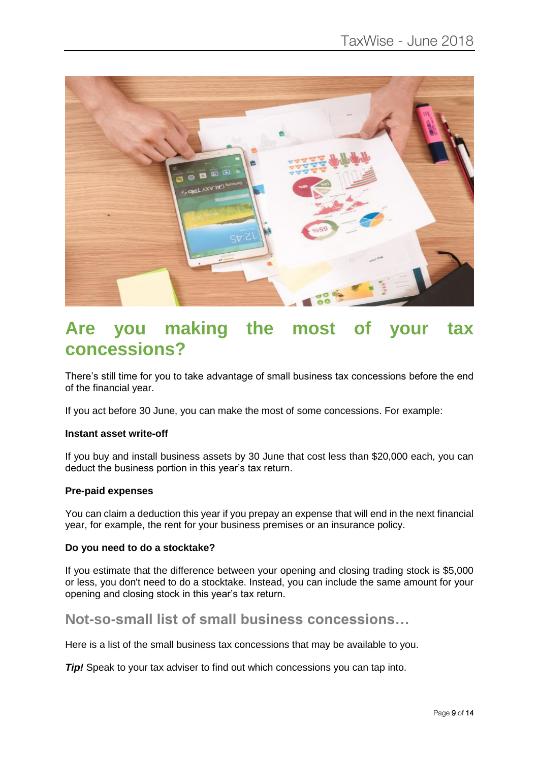

## **Are you making the most of your tax concessions?**

There's still time for you to take advantage of small business tax concessions before the end of the financial year.

If you act before 30 June, you can make the most of some concessions. For example:

#### **Instant asset write-off**

If you buy and install business assets by 30 June that cost less than \$20,000 each, you can deduct the business portion in this year's tax return.

#### **Pre-paid expenses**

You can claim a deduction this year if you prepay an expense that will end in the next financial year, for example, the rent for your business premises or an insurance policy.

#### **Do you need to do a stocktake?**

If you estimate that the difference between your opening and closing trading stock is \$5,000 or less, you don't need to do a stocktake. Instead, you can include the same amount for your opening and closing stock in this year's tax return.

## **Not-so-small list of small business concessions…**

Here is a list of the small business tax concessions that may be available to you.

*Tip!* Speak to your tax adviser to find out which concessions you can tap into.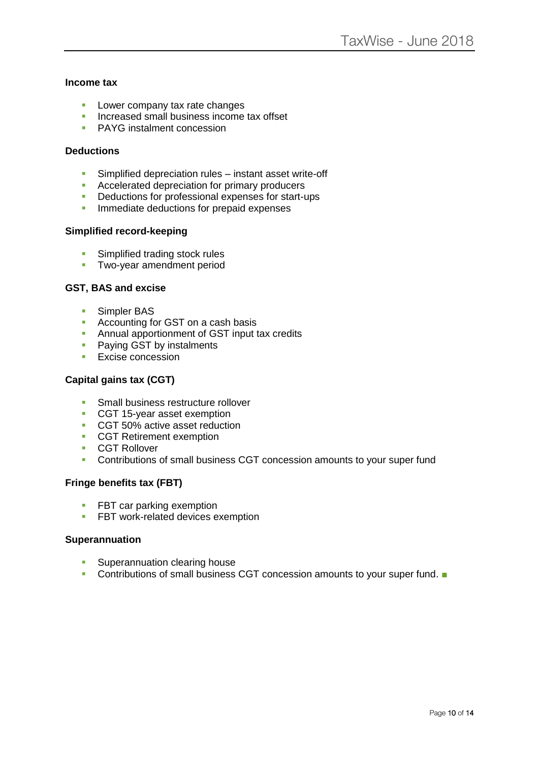#### **Income tax**

- Lower company tax rate changes
- **EXECUTE:** Increased small business income tax offset
- **PAYG** instalment concession

#### **Deductions**

- **EXECT** Simplified depreciation rules instant asset write-off
- Accelerated depreciation for primary producers
- Deductions for professional expenses for start-ups
- **·** Immediate deductions for prepaid expenses

#### **Simplified record-keeping**

- **E** Simplified trading stock rules
- **Two-year amendment period**

#### **GST, BAS and excise**

- Simpler BAS
- Accounting for GST on a cash basis
- **EXECUTE:** Annual apportionment of GST input tax credits
- Paying GST by instalments
- **Excise concession**

#### **Capital gains tax (CGT)**

- **Small business restructure rollover**
- CGT 15-year asset exemption
- CGT 50% active asset reduction
- CGT Retirement exemption
- CGT Rollover
- Contributions of small business CGT concession amounts to your super fund

#### **Fringe benefits tax (FBT)**

- FBT car parking exemption
- **EXECT** work-related devices exemption

#### **Superannuation**

- Superannuation clearing house
- Contributions of small business CGT concession amounts to your super fund. ■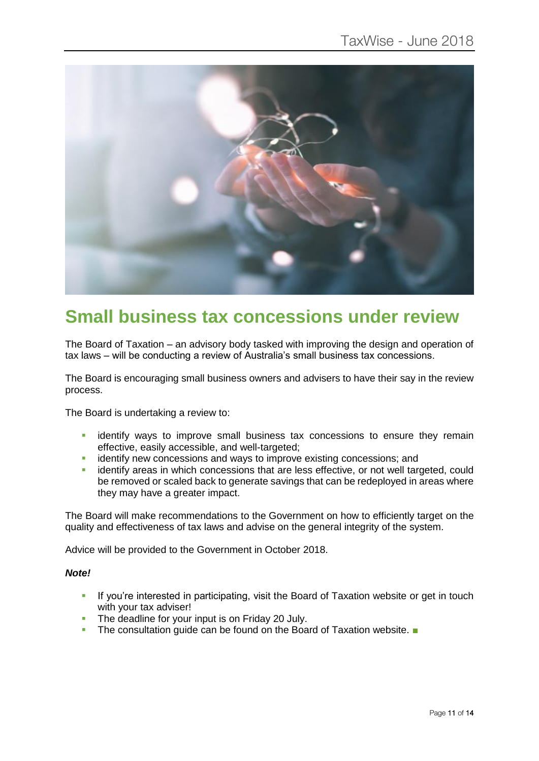

## **Small business tax concessions under review**

The Board of Taxation – an advisory body tasked with improving the design and operation of tax laws – will be conducting a review of Australia's small business tax concessions.

The Board is encouraging small business owners and advisers to have their say in the review process.

The Board is undertaking a review to:

- **Example 1** identify ways to improve small business tax concessions to ensure they remain effective, easily accessible, and well-targeted;
- **EXECTE identify new concessions and ways to improve existing concessions; and**
- identify areas in which concessions that are less effective, or not well targeted, could be removed or scaled back to generate savings that can be redeployed in areas where they may have a greater impact.

The Board will make recommendations to the Government on how to efficiently target on the quality and effectiveness of tax laws and advise on the general integrity of the system.

Advice will be provided to the Government in October 2018.

#### *Note!*

- **EXT** If you're interested in participating, visit the Board of Taxation website or get in touch with your tax adviser!
- The deadline for your input is on Friday 20 July.
- The consultation quide can be found on the Board of Taxation website. ■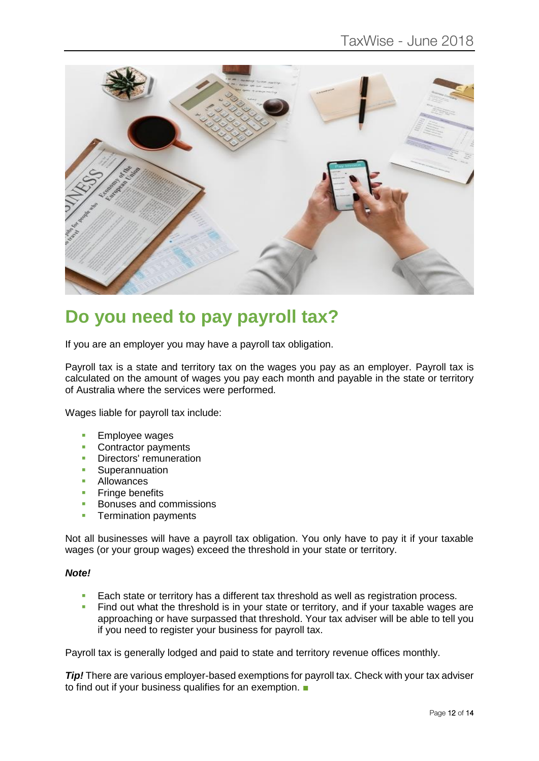

## **Do you need to pay payroll tax?**

If you are an employer you may have a payroll tax obligation.

Payroll tax is a state and territory tax on the wages you pay as an employer. Payroll tax is calculated on the amount of wages you pay each month and payable in the state or territory of Australia where the services were performed.

Wages liable for payroll tax include:

- Employee wages
- Contractor payments
- **•** Directors' remuneration
- **B** Superannuation<br> **B** Allowances
- Allowances<br>■ Fringe bene
- **Fringe benefits**
- Bonuses and commissions
- **Termination payments**

Not all businesses will have a payroll tax obligation. You only have to pay it if your taxable wages (or your group wages) exceed the threshold in your state or territory.

#### *Note!*

- Each state or territory has a different tax threshold as well as registration process.
- Find out what the threshold is in your state or territory, and if your taxable wages are approaching or have surpassed that threshold. Your tax adviser will be able to tell you if you need to register your business for payroll tax.

Payroll tax is generally lodged and paid to state and territory revenue offices monthly.

*Tip!* There are various employer-based exemptions for payroll tax. Check with your tax adviser to find out if your business qualifies for an exemption. ■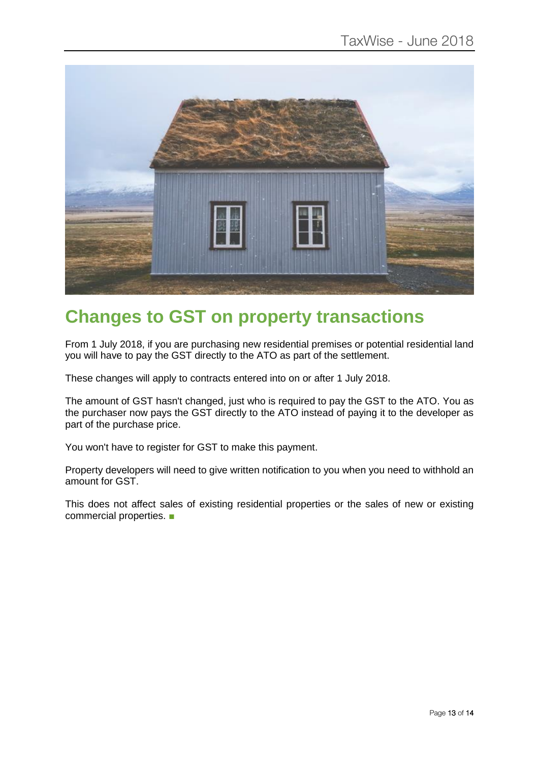

## **Changes to GST on property transactions**

From 1 July 2018, if you are purchasing new residential premises or potential residential land you will have to pay the GST directly to the ATO as part of the settlement.

These changes will apply to contracts entered into on or after 1 July 2018.

The amount of GST hasn't changed, just who is required to pay the GST to the ATO. You as the purchaser now pays the GST directly to the ATO instead of paying it to the developer as part of the purchase price.

You won't have to register for GST to make this payment.

Property developers will need to give written notification to you when you need to withhold an amount for GST.

This does not affect sales of existing residential properties or the sales of new or existing commercial properties. ■